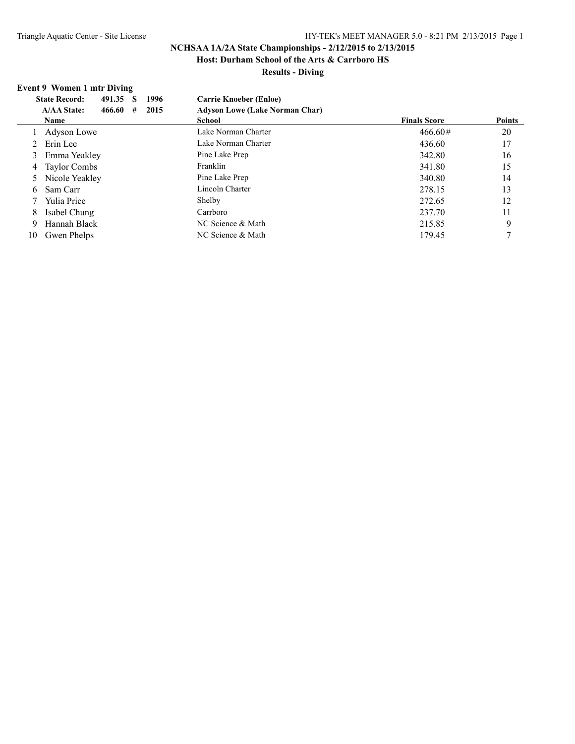# **NCHSAA 1A/2A State Championships - 2/12/2015 to 2/13/2015**

**Host: Durham School of the Arts & Carrboro HS**

## **Results - Diving**

## **Event 9 Women 1 mtr Diving**

|    | 491.35 S<br>1996<br><b>State Record:</b>  | <b>Carrie Knoeber (Enloe)</b>         |                     |               |
|----|-------------------------------------------|---------------------------------------|---------------------|---------------|
|    | 2015<br><b>A/AA State:</b><br>466.60<br># | <b>Adyson Lowe (Lake Norman Char)</b> |                     |               |
|    | <b>Name</b>                               | <b>School</b>                         | <b>Finals Score</b> | <b>Points</b> |
|    | Adyson Lowe                               | Lake Norman Charter                   | $466.60\#$          | 20            |
|    | Erin Lee                                  | Lake Norman Charter                   | 436.60              | 17            |
| 3  | Emma Yeakley                              | Pine Lake Prep                        | 342.80              | 16            |
| 4  | Taylor Combs                              | Franklin                              | 341.80              | 15            |
|    | 5 Nicole Yeakley                          | Pine Lake Prep                        | 340.80              | 14            |
| 6  | Sam Carr                                  | Lincoln Charter                       | 278.15              | 13            |
|    | Yulia Price                               | Shelby                                | 272.65              | 12            |
| 8  | Isabel Chung                              | Carrboro                              | 237.70              | 11            |
| 9  | Hannah Black                              | NC Science & Math                     | 215.85              | 9             |
| 10 | Gwen Phelps                               | NC Science & Math                     | 179.45              |               |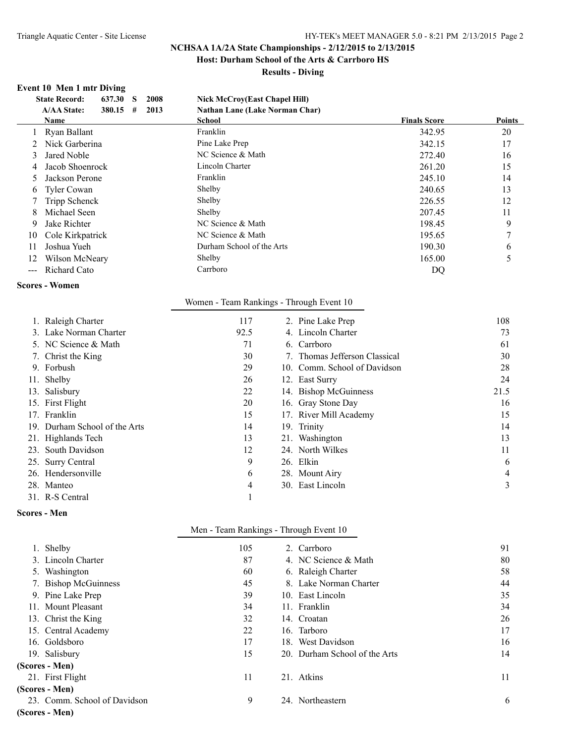# **NCHSAA 1A/2A State Championships - 2/12/2015 to 2/13/2015**

**Host: Durham School of the Arts & Carrboro HS**

**Results - Diving**

## **Event 10 Men 1 mtr Diving**

|    | 637.30<br>2008<br><b>State Record:</b><br><b>S</b> | <b>Nick McCroy(East Chapel Hill)</b>  |                     |               |
|----|----------------------------------------------------|---------------------------------------|---------------------|---------------|
|    | <b>A/AA State:</b><br>380.15<br>2013<br>#          | <b>Nathan Lane (Lake Norman Char)</b> |                     |               |
|    | Name                                               | School                                | <b>Finals Score</b> | <b>Points</b> |
|    | Ryan Ballant                                       | Franklin                              | 342.95              | 20            |
|    | Nick Garberina                                     | Pine Lake Prep                        | 342.15              | 17            |
|    | Jared Noble                                        | NC Science & Math                     | 272.40              | 16            |
| 4  | Jacob Shoenrock                                    | Lincoln Charter                       | 261.20              | 15            |
|    | Jackson Perone                                     | Franklin                              | 245.10              | 14            |
| 6. | <b>Tyler Cowan</b>                                 | Shelby                                | 240.65              | 13            |
|    | Tripp Schenck                                      | Shelby                                | 226.55              | 12            |
|    | Michael Seen                                       | Shelby                                | 207.45              | 11            |
| 9  | Jake Richter                                       | NC Science & Math                     | 198.45              | 9             |
| 10 | Cole Kirkpatrick                                   | NC Science & Math                     | 195.65              |               |
| 11 | Joshua Yueh                                        | Durham School of the Arts             | 190.30              | <sub>b</sub>  |
| 12 | Wilson McNeary                                     | Shelby                                | 165.00              |               |
|    | <b>Richard Cato</b>                                | Carrboro                              | DQ                  |               |

## **Scores - Women**

| 1. Raleigh Charter            | 117  | 2. Pine Lake Prep             | 108  |
|-------------------------------|------|-------------------------------|------|
| 3. Lake Norman Charter        | 92.5 | 4. Lincoln Charter            | 73   |
| 5. NC Science & Math          | 71   | 6. Carrboro                   | 61   |
| 7. Christ the King            | 30   | 7. Thomas Jefferson Classical | 30   |
| 9. Forbush                    | 29   | 10. Comm. School of Davidson  | 28   |
| 11. Shelby                    | 26   | 12. East Surry                | 24   |
| 13. Salisbury                 | 22   | 14. Bishop McGuinness         | 21.5 |
| 15. First Flight              | 20   | 16. Gray Stone Day            | 16   |
| 17. Franklin                  | 15   | 17. River Mill Academy        | 15   |
| 19. Durham School of the Arts | 14   | 19. Trinity                   | 14   |
| 21. Highlands Tech            | 13   | 21. Washington                | 13   |
| 23. South Davidson            | 12   | 24. North Wilkes              | 11   |
| 25. Surry Central             | 9    | 26. Elkin                     | 6    |
| 26. Hendersonville            | 6    | 28. Mount Airy                | 4    |
| 28. Manteo                    | 4    | 30. East Lincoln              | 3    |
| 31. R-S Central               |      |                               |      |

Women - Team Rankings - Through Event 10

#### **Scores - Men**

|                              | Men - Team Rankings - Through Event 10 |                               |    |
|------------------------------|----------------------------------------|-------------------------------|----|
| 1. Shelby                    | 105                                    | 2. Carrboro                   | 91 |
| 3. Lincoln Charter           | 87                                     | 4. NC Science & Math          | 80 |
| Washington<br>5.             | 60                                     | 6. Raleigh Charter            | 58 |
| 7. Bishop McGuinness         | 45                                     | 8. Lake Norman Charter        | 44 |
| 9. Pine Lake Prep            | 39                                     | 10. East Lincoln              | 35 |
| 11. Mount Pleasant           | 34                                     | 11. Franklin                  | 34 |
| 13. Christ the King          | 32                                     | 14. Croatan                   | 26 |
| 15. Central Academy          | 22                                     | 16. Tarboro                   | 17 |
| 16. Goldsboro                | 17                                     | 18. West Davidson             | 16 |
| 19. Salisbury                | 15                                     | 20. Durham School of the Arts | 14 |
| (Scores - Men)               |                                        |                               |    |
| 21. First Flight             | 11                                     | 21. Atkins                    | 11 |
| (Scores - Men)               |                                        |                               |    |
| 23. Comm. School of Davidson | 9                                      | 24. Northeastern              | 6  |

## **(Scores - Men)**